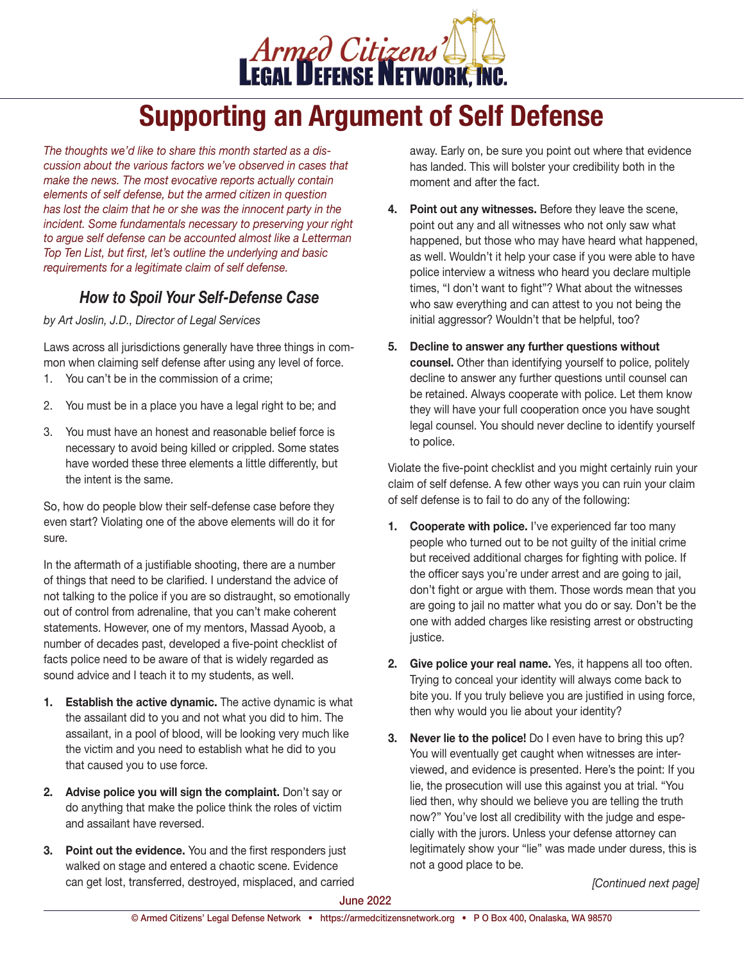

# **Supporting an Argument of Self Defense**

*The thoughts we'd like to share this month started as a discussion about the various factors we've observed in cases that make the news. The most evocative reports actually contain elements of self defense, but the armed citizen in question has lost the claim that he or she was the innocent party in the incident. Some fundamentals necessary to preserving your right to argue self defense can be accounted almost like a Letterman Top Ten List, but first, let's outline the underlying and basic requirements for a legitimate claim of self defense.*

### *How to Spoil Your Self-Defense Case*

*by Art Joslin, J.D., Director of Legal Services*

Laws across all jurisdictions generally have three things in common when claiming self defense after using any level of force.

- 1. You can't be in the commission of a crime;
- 2. You must be in a place you have a legal right to be; and
- 3. You must have an honest and reasonable belief force is necessary to avoid being killed or crippled. Some states have worded these three elements a little differently, but the intent is the same.

So, how do people blow their self-defense case before they even start? Violating one of the above elements will do it for sure.

In the aftermath of a justifiable shooting, there are a number of things that need to be clarified. I understand the advice of not talking to the police if you are so distraught, so emotionally out of control from adrenaline, that you can't make coherent statements. However, one of my mentors, Massad Ayoob, a number of decades past, developed a five-point checklist of facts police need to be aware of that is widely regarded as sound advice and I teach it to my students, as well.

- **1. Establish the active dynamic.** The active dynamic is what the assailant did to you and not what you did to him. The assailant, in a pool of blood, will be looking very much like the victim and you need to establish what he did to you that caused you to use force.
- **2. Advise police you will sign the complaint.** Don't say or do anything that make the police think the roles of victim and assailant have reversed.
- **3. Point out the evidence.** You and the first responders just walked on stage and entered a chaotic scene. Evidence can get lost, transferred, destroyed, misplaced, and carried

away. Early on, be sure you point out where that evidence has landed. This will bolster your credibility both in the moment and after the fact.

- **4. Point out any witnesses.** Before they leave the scene, point out any and all witnesses who not only saw what happened, but those who may have heard what happened, as well. Wouldn't it help your case if you were able to have police interview a witness who heard you declare multiple times, "I don't want to fight"? What about the witnesses who saw everything and can attest to you not being the initial aggressor? Wouldn't that be helpful, too?
- **5. Decline to answer any further questions without counsel.** Other than identifying yourself to police, politely decline to answer any further questions until counsel can be retained. Always cooperate with police. Let them know they will have your full cooperation once you have sought legal counsel. You should never decline to identify yourself to police.

Violate the five-point checklist and you might certainly ruin your claim of self defense. A few other ways you can ruin your claim of self defense is to fail to do any of the following:

- **1. Cooperate with police.** I've experienced far too many people who turned out to be not guilty of the initial crime but received additional charges for fighting with police. If the officer says you're under arrest and are going to jail, don't fight or argue with them. Those words mean that you are going to jail no matter what you do or say. Don't be the one with added charges like resisting arrest or obstructing justice.
- **2. Give police your real name.** Yes, it happens all too often. Trying to conceal your identity will always come back to bite you. If you truly believe you are justified in using force, then why would you lie about your identity?
- **3. Never lie to the police!** Do I even have to bring this up? You will eventually get caught when witnesses are interviewed, and evidence is presented. Here's the point: If you lie, the prosecution will use this against you at trial. "You lied then, why should we believe you are telling the truth now?" You've lost all credibility with the judge and especially with the jurors. Unless your defense attorney can legitimately show your "lie" was made under duress, this is not a good place to be.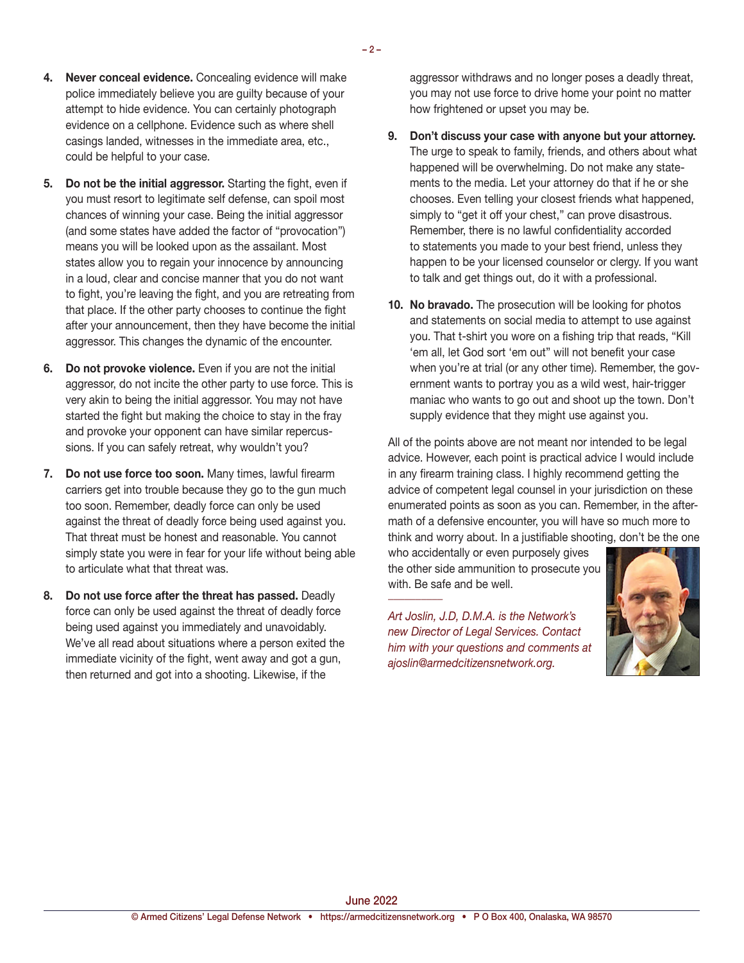- **4. Never conceal evidence.** Concealing evidence will make police immediately believe you are guilty because of your attempt to hide evidence. You can certainly photograph evidence on a cellphone. Evidence such as where shell casings landed, witnesses in the immediate area, etc., could be helpful to your case.
- **5. Do not be the initial aggressor.** Starting the fight, even if you must resort to legitimate self defense, can spoil most chances of winning your case. Being the initial aggressor (and some states have added the factor of "provocation") means you will be looked upon as the assailant. Most states allow you to regain your innocence by announcing in a loud, clear and concise manner that you do not want to fight, you're leaving the fight, and you are retreating from that place. If the other party chooses to continue the fight after your announcement, then they have become the initial aggressor. This changes the dynamic of the encounter.
- **6. Do not provoke violence.** Even if you are not the initial aggressor, do not incite the other party to use force. This is very akin to being the initial aggressor. You may not have started the fight but making the choice to stay in the fray and provoke your opponent can have similar repercussions. If you can safely retreat, why wouldn't you?
- **7. Do not use force too soon.** Many times, lawful firearm carriers get into trouble because they go to the gun much too soon. Remember, deadly force can only be used against the threat of deadly force being used against you. That threat must be honest and reasonable. You cannot simply state you were in fear for your life without being able to articulate what that threat was.
- **8. Do not use force after the threat has passed.** Deadly force can only be used against the threat of deadly force being used against you immediately and unavoidably. We've all read about situations where a person exited the immediate vicinity of the fight, went away and got a gun, then returned and got into a shooting. Likewise, if the

aggressor withdraws and no longer poses a deadly threat, you may not use force to drive home your point no matter how frightened or upset you may be.

- **9. Don't discuss your case with anyone but your attorney.**  The urge to speak to family, friends, and others about what happened will be overwhelming. Do not make any statements to the media. Let your attorney do that if he or she chooses. Even telling your closest friends what happened, simply to "get it off your chest," can prove disastrous. Remember, there is no lawful confidentiality accorded to statements you made to your best friend, unless they happen to be your licensed counselor or clergy. If you want to talk and get things out, do it with a professional.
- **10. No bravado.** The prosecution will be looking for photos and statements on social media to attempt to use against you. That t-shirt you wore on a fishing trip that reads, "Kill 'em all, let God sort 'em out" will not benefit your case when you're at trial (or any other time). Remember, the government wants to portray you as a wild west, hair-trigger maniac who wants to go out and shoot up the town. Don't supply evidence that they might use against you.

All of the points above are not meant nor intended to be legal advice. However, each point is practical advice I would include in any firearm training class. I highly recommend getting the advice of competent legal counsel in your jurisdiction on these enumerated points as soon as you can. Remember, in the aftermath of a defensive encounter, you will have so much more to think and worry about. In a justifiable shooting, don't be the one

who accidentally or even purposely gives the other side ammunition to prosecute you with. Be safe and be well. *\_\_\_\_\_\_\_\_\_\_*

*Art Joslin, J.D, D.M.A. is the Network's new Director of Legal Services. Contact him with your questions and comments at ajoslin@armedcitizensnetwork.org.*

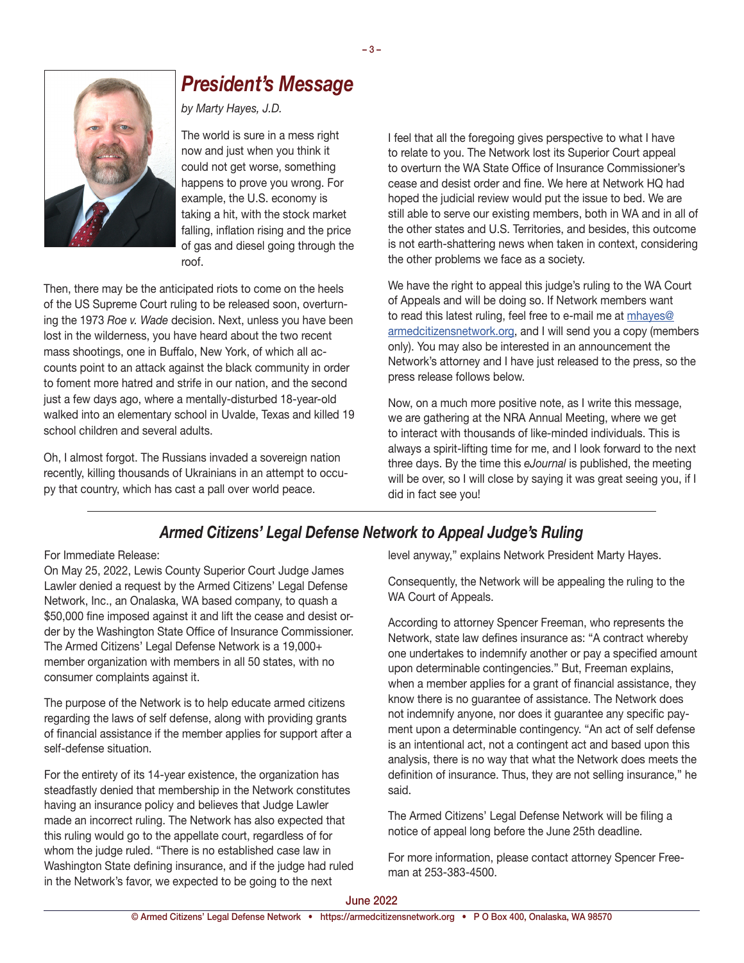

## *President's Message*

*by Marty Hayes, J.D.*

The world is sure in a mess right now and just when you think it could not get worse, something happens to prove you wrong. For example, the U.S. economy is taking a hit, with the stock market falling, inflation rising and the price of gas and diesel going through the roof.

Then, there may be the anticipated riots to come on the heels of the US Supreme Court ruling to be released soon, overturning the 1973 *Roe v. Wade* decision. Next, unless you have been lost in the wilderness, you have heard about the two recent mass shootings, one in Buffalo, New York, of which all accounts point to an attack against the black community in order to foment more hatred and strife in our nation, and the second just a few days ago, where a mentally-disturbed 18-year-old walked into an elementary school in Uvalde, Texas and killed 19 school children and several adults.

Oh, I almost forgot. The Russians invaded a sovereign nation recently, killing thousands of Ukrainians in an attempt to occupy that country, which has cast a pall over world peace.

I feel that all the foregoing gives perspective to what I have to relate to you. The Network lost its Superior Court appeal to overturn the WA State Office of Insurance Commissioner's cease and desist order and fine. We here at Network HQ had hoped the judicial review would put the issue to bed. We are still able to serve our existing members, both in WA and in all of the other states and U.S. Territories, and besides, this outcome is not earth-shattering news when taken in context, considering the other problems we face as a society.

We have the right to appeal this judge's ruling to the WA Court of Appeals and will be doing so. If Network members want to read this latest ruling, feel free to e-mail me at [mhayes@](mailto:mhayes%40armedcitizensnetwork.org?subject=Please%20send%20me%20the%20judge%27s%20ruling) [armedcitizensnetwork.org](mailto:mhayes%40armedcitizensnetwork.org?subject=Please%20send%20me%20the%20judge%27s%20ruling), and I will send you a copy (members only). You may also be interested in an announcement the Network's attorney and I have just released to the press, so the press release follows below.

Now, on a much more positive note, as I write this message, we are gathering at the NRA Annual Meeting, where we get to interact with thousands of like-minded individuals. This is always a spirit-lifting time for me, and I look forward to the next three days. By the time this *eJournal* is published, the meeting will be over, so I will close by saying it was great seeing you, if I did in fact see you!

### *Armed Citizens' Legal Defense Network to Appeal Judge's Ruling*

#### For Immediate Release:

On May 25, 2022, Lewis County Superior Court Judge James Lawler denied a request by the Armed Citizens' Legal Defense Network, Inc., an Onalaska, WA based company, to quash a \$50,000 fine imposed against it and lift the cease and desist order by the Washington State Office of Insurance Commissioner. The Armed Citizens' Legal Defense Network is a 19,000+ member organization with members in all 50 states, with no consumer complaints against it.

The purpose of the Network is to help educate armed citizens regarding the laws of self defense, along with providing grants of financial assistance if the member applies for support after a self-defense situation.

For the entirety of its 14-year existence, the organization has steadfastly denied that membership in the Network constitutes having an insurance policy and believes that Judge Lawler made an incorrect ruling. The Network has also expected that this ruling would go to the appellate court, regardless of for whom the judge ruled. "There is no established case law in Washington State defining insurance, and if the judge had ruled in the Network's favor, we expected to be going to the next

level anyway," explains Network President Marty Hayes.

Consequently, the Network will be appealing the ruling to the WA Court of Appeals.

According to attorney Spencer Freeman, who represents the Network, state law defines insurance as: "A contract whereby one undertakes to indemnify another or pay a specified amount upon determinable contingencies." But, Freeman explains, when a member applies for a grant of financial assistance, they know there is no guarantee of assistance. The Network does not indemnify anyone, nor does it guarantee any specific payment upon a determinable contingency. "An act of self defense is an intentional act, not a contingent act and based upon this analysis, there is no way that what the Network does meets the definition of insurance. Thus, they are not selling insurance," he said.

The Armed Citizens' Legal Defense Network will be filing a notice of appeal long before the June 25th deadline.

For more information, please contact attorney Spencer Freeman at 253-383-4500.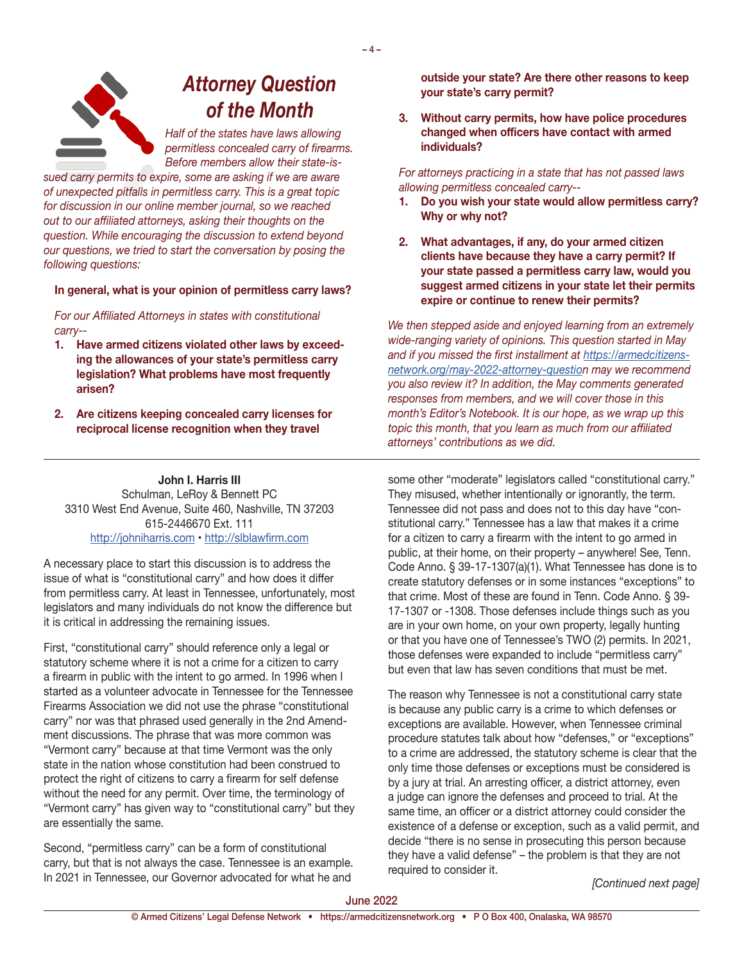*Attorney Question of the Month*

*Half of the states have laws allowing permitless concealed carry of firearms. Before members allow their state-is-*

*sued carry permits to expire, some are asking if we are aware of unexpected pitfalls in permitless carry. This is a great topic for discussion in our online member journal, so we reached out to our affiliated attorneys, asking their thoughts on the question. While encouraging the discussion to extend beyond our questions, we tried to start the conversation by posing the following questions:* 

#### **In general, what is your opinion of permitless carry laws?**

*For our Affiliated Attorneys in states with constitutional carry--*

- **1. Have armed citizens violated other laws by exceeding the allowances of your state's permitless carry legislation? What problems have most frequently arisen?**
- **2. Are citizens keeping concealed carry licenses for reciprocal license recognition when they travel**

**John I. Harris III** Schulman, LeRoy & Bennett PC 3310 West End Avenue, Suite 460, Nashville, TN 37203 615-2446670 Ext. 111 <http://johniharris.com> • <http://slblawfirm.com>

A necessary place to start this discussion is to address the issue of what is "constitutional carry" and how does it differ from permitless carry. At least in Tennessee, unfortunately, most legislators and many individuals do not know the difference but it is critical in addressing the remaining issues.

First, "constitutional carry" should reference only a legal or statutory scheme where it is not a crime for a citizen to carry a firearm in public with the intent to go armed. In 1996 when I started as a volunteer advocate in Tennessee for the Tennessee Firearms Association we did not use the phrase "constitutional carry" nor was that phrased used generally in the 2nd Amendment discussions. The phrase that was more common was "Vermont carry" because at that time Vermont was the only state in the nation whose constitution had been construed to protect the right of citizens to carry a firearm for self defense without the need for any permit. Over time, the terminology of "Vermont carry" has given way to "constitutional carry" but they are essentially the same.

Second, "permitless carry" can be a form of constitutional carry, but that is not always the case. Tennessee is an example. In 2021 in Tennessee, our Governor advocated for what he and **outside your state? Are there other reasons to keep your state's carry permit?**

**3. Without carry permits, how have police procedures changed when officers have contact with armed individuals?**

*For attorneys practicing in a state that has not passed laws allowing permitless concealed carry--*

- **1. Do you wish your state would allow permitless carry? Why or why not?**
- **2. What advantages, if any, do your armed citizen clients have because they have a carry permit? If your state passed a permitless carry law, would you suggest armed citizens in your state let their permits expire or continue to renew their permits?**

*We then stepped aside and enjoyed learning from an extremely wide-ranging variety of opinions. This question started in May and if you missed the first installment at [https://armedcitizens](https://armedcitizensnetwork.org/may-2022-attorney-questio)[network.org/may-2022-attorney-question](https://armedcitizensnetwork.org/may-2022-attorney-questio) may we recommend you also review it? In addition, the May comments generated responses from members, and we will cover those in this month's Editor's Notebook. It is our hope, as we wrap up this topic this month, that you learn as much from our affiliated attorneys' contributions as we did.*

some other "moderate" legislators called "constitutional carry." They misused, whether intentionally or ignorantly, the term. Tennessee did not pass and does not to this day have "constitutional carry." Tennessee has a law that makes it a crime for a citizen to carry a firearm with the intent to go armed in public, at their home, on their property – anywhere! See, Tenn. Code Anno. § 39-17-1307(a)(1). What Tennessee has done is to create statutory defenses or in some instances "exceptions" to that crime. Most of these are found in Tenn. Code Anno. § 39- 17-1307 or -1308. Those defenses include things such as you are in your own home, on your own property, legally hunting or that you have one of Tennessee's TWO (2) permits. In 2021, those defenses were expanded to include "permitless carry" but even that law has seven conditions that must be met.

The reason why Tennessee is not a constitutional carry state is because any public carry is a crime to which defenses or exceptions are available. However, when Tennessee criminal procedure statutes talk about how "defenses," or "exceptions" to a crime are addressed, the statutory scheme is clear that the only time those defenses or exceptions must be considered is by a jury at trial. An arresting officer, a district attorney, even a judge can ignore the defenses and proceed to trial. At the same time, an officer or a district attorney could consider the existence of a defense or exception, such as a valid permit, and decide "there is no sense in prosecuting this person because they have a valid defense" – the problem is that they are not required to consider it.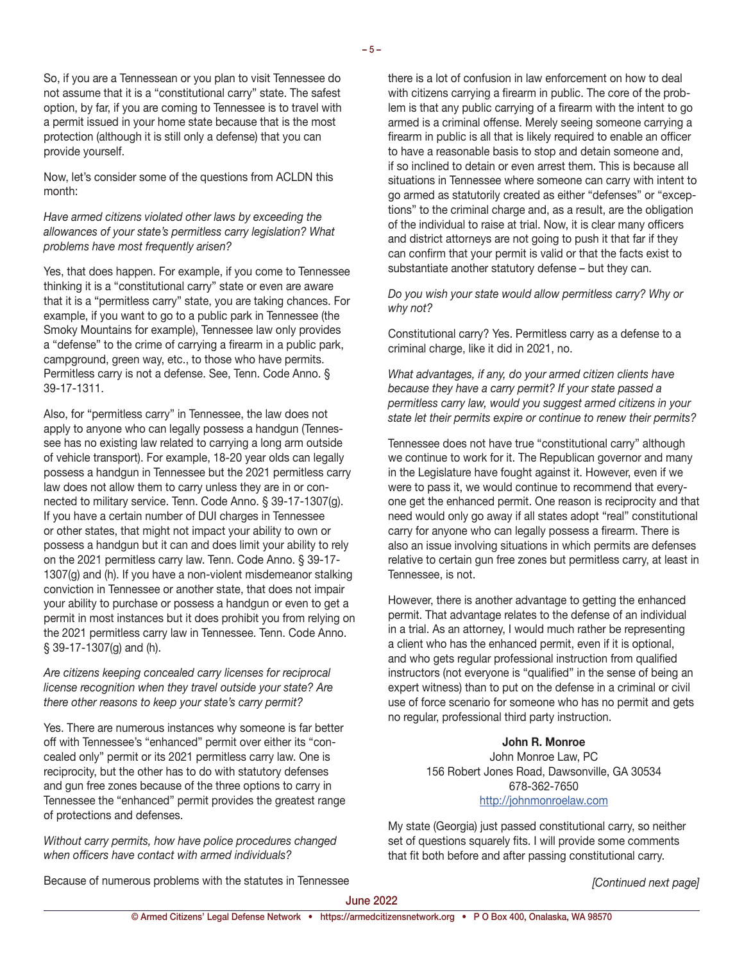So, if you are a Tennessean or you plan to visit Tennessee do not assume that it is a "constitutional carry" state. The safest option, by far, if you are coming to Tennessee is to travel with a permit issued in your home state because that is the most protection (although it is still only a defense) that you can provide yourself.

Now, let's consider some of the questions from ACLDN this month:

*Have armed citizens violated other laws by exceeding the allowances of your state's permitless carry legislation? What problems have most frequently arisen?*

Yes, that does happen. For example, if you come to Tennessee thinking it is a "constitutional carry" state or even are aware that it is a "permitless carry" state, you are taking chances. For example, if you want to go to a public park in Tennessee (the Smoky Mountains for example), Tennessee law only provides a "defense" to the crime of carrying a firearm in a public park, campground, green way, etc., to those who have permits. Permitless carry is not a defense. See, Tenn. Code Anno. § 39-17-1311.

Also, for "permitless carry" in Tennessee, the law does not apply to anyone who can legally possess a handgun (Tennessee has no existing law related to carrying a long arm outside of vehicle transport). For example, 18-20 year olds can legally possess a handgun in Tennessee but the 2021 permitless carry law does not allow them to carry unless they are in or connected to military service. Tenn. Code Anno. § 39-17-1307(g). If you have a certain number of DUI charges in Tennessee or other states, that might not impact your ability to own or possess a handgun but it can and does limit your ability to rely on the 2021 permitless carry law. Tenn. Code Anno. § 39-17- 1307(g) and (h). If you have a non-violent misdemeanor stalking conviction in Tennessee or another state, that does not impair your ability to purchase or possess a handgun or even to get a permit in most instances but it does prohibit you from relying on the 2021 permitless carry law in Tennessee. Tenn. Code Anno. § 39-17-1307(g) and (h).

*Are citizens keeping concealed carry licenses for reciprocal license recognition when they travel outside your state? Are there other reasons to keep your state's carry permit?*

Yes. There are numerous instances why someone is far better off with Tennessee's "enhanced" permit over either its "concealed only" permit or its 2021 permitless carry law. One is reciprocity, but the other has to do with statutory defenses and gun free zones because of the three options to carry in Tennessee the "enhanced" permit provides the greatest range of protections and defenses.

*Without carry permits, how have police procedures changed when officers have contact with armed individuals?*

there is a lot of confusion in law enforcement on how to deal with citizens carrying a firearm in public. The core of the problem is that any public carrying of a firearm with the intent to go armed is a criminal offense. Merely seeing someone carrying a firearm in public is all that is likely required to enable an officer to have a reasonable basis to stop and detain someone and, if so inclined to detain or even arrest them. This is because all situations in Tennessee where someone can carry with intent to go armed as statutorily created as either "defenses" or "exceptions" to the criminal charge and, as a result, are the obligation of the individual to raise at trial. Now, it is clear many officers and district attorneys are not going to push it that far if they can confirm that your permit is valid or that the facts exist to substantiate another statutory defense – but they can.

*Do you wish your state would allow permitless carry? Why or why not?*

Constitutional carry? Yes. Permitless carry as a defense to a criminal charge, like it did in 2021, no.

*What advantages, if any, do your armed citizen clients have because they have a carry permit? If your state passed a permitless carry law, would you suggest armed citizens in your state let their permits expire or continue to renew their permits?*

Tennessee does not have true "constitutional carry" although we continue to work for it. The Republican governor and many in the Legislature have fought against it. However, even if we were to pass it, we would continue to recommend that everyone get the enhanced permit. One reason is reciprocity and that need would only go away if all states adopt "real" constitutional carry for anyone who can legally possess a firearm. There is also an issue involving situations in which permits are defenses relative to certain gun free zones but permitless carry, at least in Tennessee, is not.

However, there is another advantage to getting the enhanced permit. That advantage relates to the defense of an individual in a trial. As an attorney, I would much rather be representing a client who has the enhanced permit, even if it is optional, and who gets regular professional instruction from qualified instructors (not everyone is "qualified" in the sense of being an expert witness) than to put on the defense in a criminal or civil use of force scenario for someone who has no permit and gets no regular, professional third party instruction.

#### **John R. Monroe**

John Monroe Law, PC 156 Robert Jones Road, Dawsonville, GA 30534 678-362-7650 <http://johnmonroelaw.com>

My state (Georgia) just passed constitutional carry, so neither set of questions squarely fits. I will provide some comments that fit both before and after passing constitutional carry.

Because of numerous problems with the statutes in Tennessee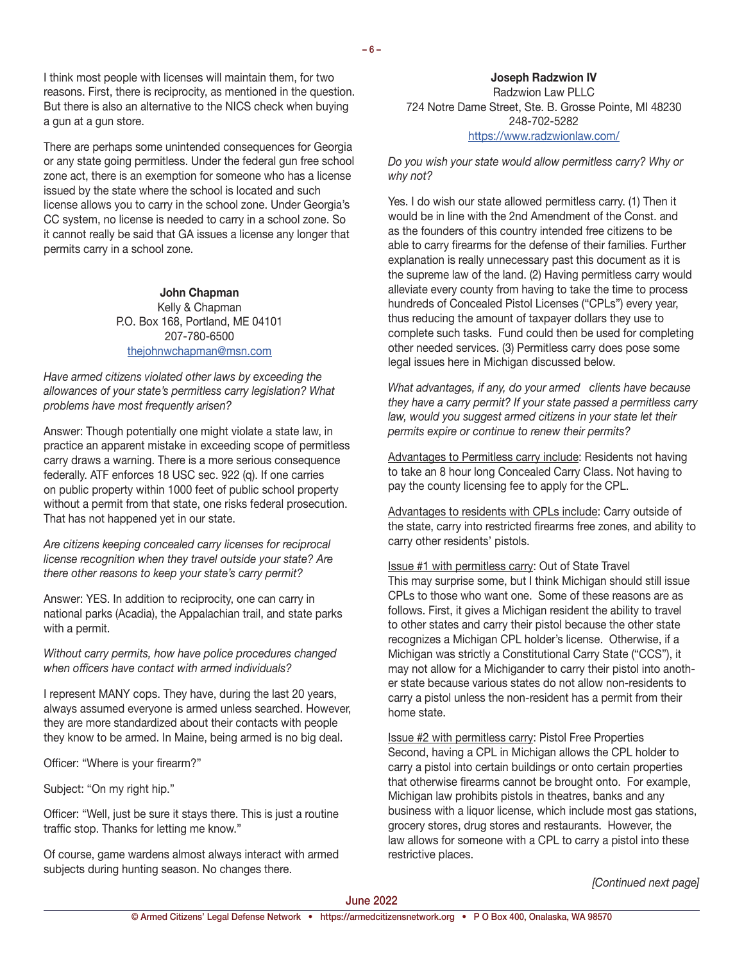There are perhaps some unintended consequences for Georgia or any state going permitless. Under the federal gun free school zone act, there is an exemption for someone who has a license issued by the state where the school is located and such license allows you to carry in the school zone. Under Georgia's CC system, no license is needed to carry in a school zone. So it cannot really be said that GA issues a license any longer that permits carry in a school zone.

> **John Chapman** Kelly & Chapman P.O. Box 168, Portland, ME 04101 207-780-6500 [thejohnwchapman@msn.com](mailto:thejohnwchapman%40msn.com?subject=Your%20comments%20in%20June%202022%20Network%20journal)

*Have armed citizens violated other laws by exceeding the allowances of your state's permitless carry legislation? What problems have most frequently arisen?*

Answer: Though potentially one might violate a state law, in practice an apparent mistake in exceeding scope of permitless carry draws a warning. There is a more serious consequence federally. ATF enforces 18 USC sec. 922 (q). If one carries on public property within 1000 feet of public school property without a permit from that state, one risks federal prosecution. That has not happened yet in our state.

*Are citizens keeping concealed carry licenses for reciprocal license recognition when they travel outside your state? Are there other reasons to keep your state's carry permit?*

Answer: YES. In addition to reciprocity, one can carry in national parks (Acadia), the Appalachian trail, and state parks with a permit.

*Without carry permits, how have police procedures changed when officers have contact with armed individuals?*

I represent MANY cops. They have, during the last 20 years, always assumed everyone is armed unless searched. However, they are more standardized about their contacts with people they know to be armed. In Maine, being armed is no big deal.

Officer: "Where is your firearm?"

Subject: "On my right hip."

Officer: "Well, just be sure it stays there. This is just a routine traffic stop. Thanks for letting me know."

Of course, game wardens almost always interact with armed subjects during hunting season. No changes there.

**Joseph Radzwion IV** Radzwion Law PLLC 724 Notre Dame Street, Ste. B. Grosse Pointe, MI 48230 248-702-5282 <https://www.radzwionlaw.com/>

*Do you wish your state would allow permitless carry? Why or why not?*

Yes. I do wish our state allowed permitless carry. (1) Then it would be in line with the 2nd Amendment of the Const. and as the founders of this country intended free citizens to be able to carry firearms for the defense of their families. Further explanation is really unnecessary past this document as it is the supreme law of the land. (2) Having permitless carry would alleviate every county from having to take the time to process hundreds of Concealed Pistol Licenses ("CPLs") every year, thus reducing the amount of taxpayer dollars they use to complete such tasks. Fund could then be used for completing other needed services. (3) Permitless carry does pose some legal issues here in Michigan discussed below.

*What advantages, if any, do your armed clients have because they have a carry permit? If your state passed a permitless carry law, would you suggest armed citizens in your state let their permits expire or continue to renew their permits?*

Advantages to Permitless carry include: Residents not having to take an 8 hour long Concealed Carry Class. Not having to pay the county licensing fee to apply for the CPL.

Advantages to residents with CPLs include: Carry outside of the state, carry into restricted firearms free zones, and ability to carry other residents' pistols.

Issue #1 with permitless carry: Out of State Travel This may surprise some, but I think Michigan should still issue CPLs to those who want one. Some of these reasons are as follows. First, it gives a Michigan resident the ability to travel to other states and carry their pistol because the other state recognizes a Michigan CPL holder's license. Otherwise, if a Michigan was strictly a Constitutional Carry State ("CCS"), it may not allow for a Michigander to carry their pistol into another state because various states do not allow non-residents to carry a pistol unless the non-resident has a permit from their home state.

Issue #2 with permitless carry: Pistol Free Properties Second, having a CPL in Michigan allows the CPL holder to carry a pistol into certain buildings or onto certain properties that otherwise firearms cannot be brought onto. For example, Michigan law prohibits pistols in theatres, banks and any business with a liquor license, which include most gas stations, grocery stores, drug stores and restaurants. However, the law allows for someone with a CPL to carry a pistol into these restrictive places.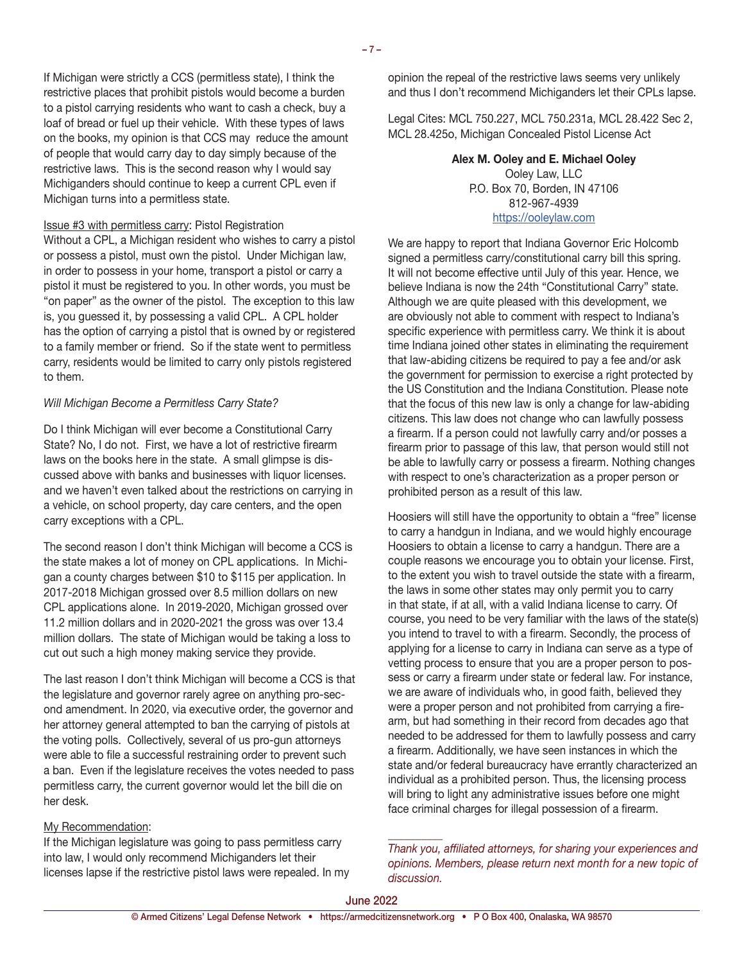If Michigan were strictly a CCS (permitless state), I think the restrictive places that prohibit pistols would become a burden to a pistol carrying residents who want to cash a check, buy a loaf of bread or fuel up their vehicle. With these types of laws on the books, my opinion is that CCS may reduce the amount of people that would carry day to day simply because of the restrictive laws. This is the second reason why I would say Michiganders should continue to keep a current CPL even if Michigan turns into a permitless state.

#### Issue #3 with permitless carry: Pistol Registration

Without a CPL, a Michigan resident who wishes to carry a pistol or possess a pistol, must own the pistol. Under Michigan law, in order to possess in your home, transport a pistol or carry a pistol it must be registered to you. In other words, you must be "on paper" as the owner of the pistol. The exception to this law is, you guessed it, by possessing a valid CPL. A CPL holder has the option of carrying a pistol that is owned by or registered to a family member or friend. So if the state went to permitless carry, residents would be limited to carry only pistols registered to them.

#### *Will Michigan Become a Permitless Carry State?*

Do I think Michigan will ever become a Constitutional Carry State? No, I do not. First, we have a lot of restrictive firearm laws on the books here in the state. A small glimpse is discussed above with banks and businesses with liquor licenses. and we haven't even talked about the restrictions on carrying in a vehicle, on school property, day care centers, and the open carry exceptions with a CPL.

The second reason I don't think Michigan will become a CCS is the state makes a lot of money on CPL applications. In Michigan a county charges between \$10 to \$115 per application. In 2017-2018 Michigan grossed over 8.5 million dollars on new CPL applications alone. In 2019-2020, Michigan grossed over 11.2 million dollars and in 2020-2021 the gross was over 13.4 million dollars. The state of Michigan would be taking a loss to cut out such a high money making service they provide.

The last reason I don't think Michigan will become a CCS is that the legislature and governor rarely agree on anything pro-second amendment. In 2020, via executive order, the governor and her attorney general attempted to ban the carrying of pistols at the voting polls. Collectively, several of us pro-gun attorneys were able to file a successful restraining order to prevent such a ban. Even if the legislature receives the votes needed to pass permitless carry, the current governor would let the bill die on her desk.

#### My Recommendation:

If the Michigan legislature was going to pass permitless carry into law, I would only recommend Michiganders let their licenses lapse if the restrictive pistol laws were repealed. In my

opinion the repeal of the restrictive laws seems very unlikely and thus I don't recommend Michiganders let their CPLs lapse.

Legal Cites: MCL 750.227, MCL 750.231a, MCL 28.422 Sec 2, MCL 28.425o, Michigan Concealed Pistol License Act

> **Alex M. Ooley and E. Michael Ooley** Ooley Law, LLC P.O. Box 70, Borden, IN 47106 812-967-4939 <https://ooleylaw.com>

We are happy to report that Indiana Governor Eric Holcomb signed a permitless carry/constitutional carry bill this spring. It will not become effective until July of this year. Hence, we believe Indiana is now the 24th "Constitutional Carry" state. Although we are quite pleased with this development, we are obviously not able to comment with respect to Indiana's specific experience with permitless carry. We think it is about time Indiana joined other states in eliminating the requirement that law-abiding citizens be required to pay a fee and/or ask the government for permission to exercise a right protected by the US Constitution and the Indiana Constitution. Please note that the focus of this new law is only a change for law-abiding citizens. This law does not change who can lawfully possess a firearm. If a person could not lawfully carry and/or posses a firearm prior to passage of this law, that person would still not be able to lawfully carry or possess a firearm. Nothing changes with respect to one's characterization as a proper person or prohibited person as a result of this law.

Hoosiers will still have the opportunity to obtain a "free" license to carry a handgun in Indiana, and we would highly encourage Hoosiers to obtain a license to carry a handgun. There are a couple reasons we encourage you to obtain your license. First, to the extent you wish to travel outside the state with a firearm, the laws in some other states may only permit you to carry in that state, if at all, with a valid Indiana license to carry. Of course, you need to be very familiar with the laws of the state(s) you intend to travel to with a firearm. Secondly, the process of applying for a license to carry in Indiana can serve as a type of vetting process to ensure that you are a proper person to possess or carry a firearm under state or federal law. For instance, we are aware of individuals who, in good faith, believed they were a proper person and not prohibited from carrying a firearm, but had something in their record from decades ago that needed to be addressed for them to lawfully possess and carry a firearm. Additionally, we have seen instances in which the state and/or federal bureaucracy have errantly characterized an individual as a prohibited person. Thus, the licensing process will bring to light any administrative issues before one might face criminal charges for illegal possession of a firearm.

*Thank you, affiliated attorneys, for sharing your experiences and opinions. Members, please return next month for a new topic of discussion.*

*\_\_\_\_\_\_\_\_\_\_*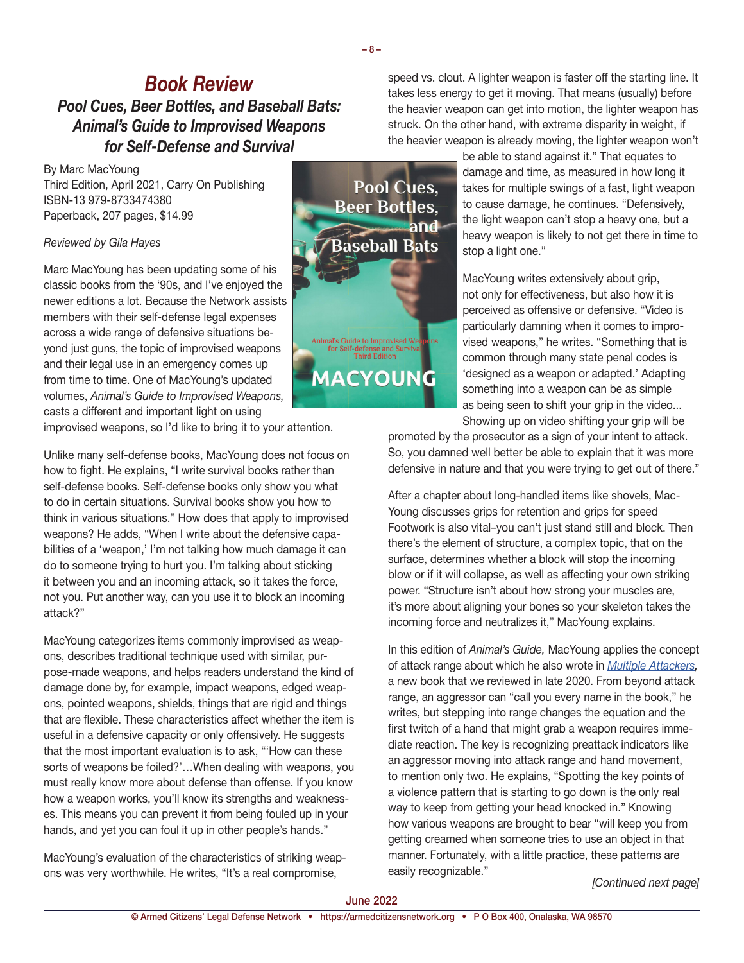*Book Review Pool Cues, Beer Bottles, and Baseball Bats: Animal's Guide to Improvised Weapons for Self-Defense and Survival*

By Marc MacYoung Third Edition, April 2021, Carry On Publishing ISBN-13 979-8733474380 Paperback, 207 pages, \$14.99

#### *Reviewed by Gila Hayes*

Marc MacYoung has been updating some of his classic books from the '90s, and I've enjoyed the newer editions a lot. Because the Network assists members with their self-defense legal expenses across a wide range of defensive situations beyond just guns, the topic of improvised weapons and their legal use in an emergency comes up from time to time. One of MacYoung's updated volumes, *Animal's Guide to Improvised Weapons,*  casts a different and important light on using

improvised weapons, so I'd like to bring it to your attention.

Unlike many self-defense books, MacYoung does not focus on how to fight. He explains, "I write survival books rather than self-defense books. Self-defense books only show you what to do in certain situations. Survival books show you how to think in various situations." How does that apply to improvised weapons? He adds, "When I write about the defensive capabilities of a 'weapon,' I'm not talking how much damage it can do to someone trying to hurt you. I'm talking about sticking it between you and an incoming attack, so it takes the force, not you. Put another way, can you use it to block an incoming attack?"

MacYoung categorizes items commonly improvised as weapons, describes traditional technique used with similar, purpose-made weapons, and helps readers understand the kind of damage done by, for example, impact weapons, edged weapons, pointed weapons, shields, things that are rigid and things that are flexible. These characteristics affect whether the item is useful in a defensive capacity or only offensively. He suggests that the most important evaluation is to ask, "'How can these sorts of weapons be foiled?'…When dealing with weapons, you must really know more about defense than offense. If you know how a weapon works, you'll know its strengths and weaknesses. This means you can prevent it from being fouled up in your hands, and yet you can foul it up in other people's hands."

MacYoung's evaluation of the characteristics of striking weapons was very worthwhile. He writes, "It's a real compromise, *[Continued next page]*



speed vs. clout. A lighter weapon is faster off the starting line. It takes less energy to get it moving. That means (usually) before the heavier weapon can get into motion, the lighter weapon has struck. On the other hand, with extreme disparity in weight, if the heavier weapon is already moving, the lighter weapon won't

> be able to stand against it." That equates to damage and time, as measured in how long it takes for multiple swings of a fast, light weapon to cause damage, he continues. "Defensively, the light weapon can't stop a heavy one, but a heavy weapon is likely to not get there in time to stop a light one."

MacYoung writes extensively about grip, not only for effectiveness, but also how it is perceived as offensive or defensive. "Video is particularly damning when it comes to improvised weapons," he writes. "Something that is common through many state penal codes is 'designed as a weapon or adapted.' Adapting something into a weapon can be as simple as being seen to shift your grip in the video... Showing up on video shifting your grip will be

promoted by the prosecutor as a sign of your intent to attack. So, you damned well better be able to explain that it was more defensive in nature and that you were trying to get out of there."

After a chapter about long-handled items like shovels, Mac-Young discusses grips for retention and grips for speed Footwork is also vital–you can't just stand still and block. Then there's the element of structure, a complex topic, that on the surface, determines whether a block will stop the incoming blow or if it will collapse, as well as affecting your own striking power. "Structure isn't about how strong your muscles are, it's more about aligning your bones so your skeleton takes the incoming force and neutralizes it," MacYoung explains.

In this edition of *Animal's Guide,* MacYoung applies the concept of attack range about which he also wrote in *[Multiple Attackers](https://armedcitizensnetwork.org/december-2020-book-review),*  a new book that we reviewed in late 2020. From beyond attack range, an aggressor can "call you every name in the book," he writes, but stepping into range changes the equation and the first twitch of a hand that might grab a weapon requires immediate reaction. The key is recognizing preattack indicators like an aggressor moving into attack range and hand movement, to mention only two. He explains, "Spotting the key points of a violence pattern that is starting to go down is the only real way to keep from getting your head knocked in." Knowing how various weapons are brought to bear "will keep you from getting creamed when someone tries to use an object in that manner. Fortunately, with a little practice, these patterns are easily recognizable."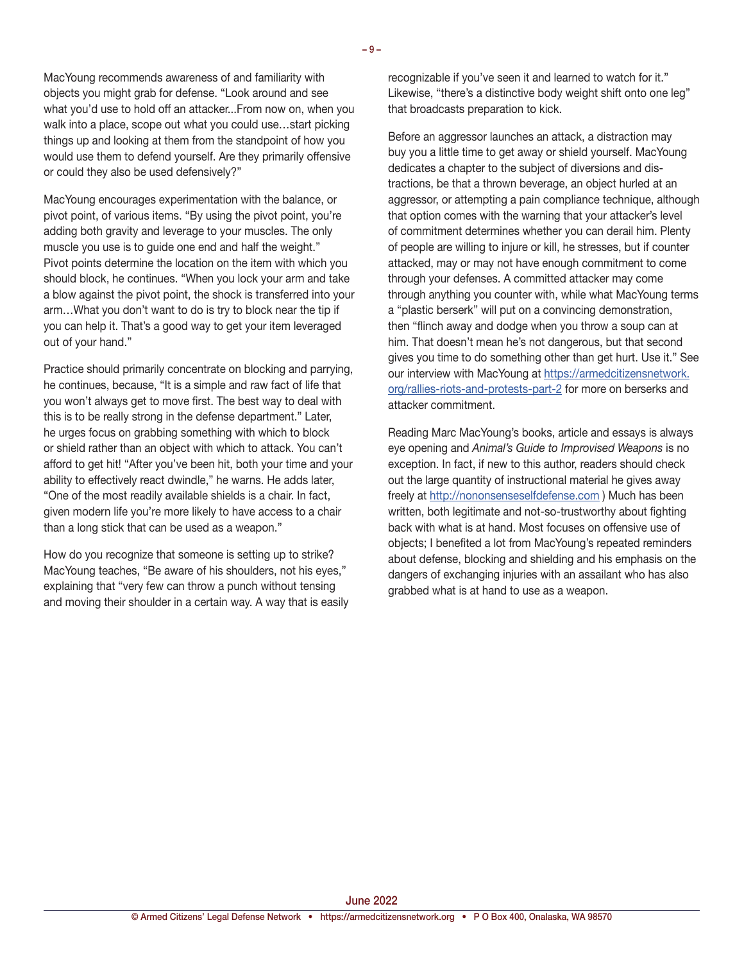MacYoung recommends awareness of and familiarity with objects you might grab for defense. "Look around and see what you'd use to hold off an attacker...From now on, when you walk into a place, scope out what you could use…start picking things up and looking at them from the standpoint of how you would use them to defend yourself. Are they primarily offensive or could they also be used defensively?"

MacYoung encourages experimentation with the balance, or pivot point, of various items. "By using the pivot point, you're adding both gravity and leverage to your muscles. The only muscle you use is to guide one end and half the weight." Pivot points determine the location on the item with which you should block, he continues. "When you lock your arm and take a blow against the pivot point, the shock is transferred into your arm…What you don't want to do is try to block near the tip if you can help it. That's a good way to get your item leveraged out of your hand."

Practice should primarily concentrate on blocking and parrying, he continues, because, "It is a simple and raw fact of life that you won't always get to move first. The best way to deal with this is to be really strong in the defense department." Later, he urges focus on grabbing something with which to block or shield rather than an object with which to attack. You can't afford to get hit! "After you've been hit, both your time and your ability to effectively react dwindle," he warns. He adds later, "One of the most readily available shields is a chair. In fact, given modern life you're more likely to have access to a chair than a long stick that can be used as a weapon."

How do you recognize that someone is setting up to strike? MacYoung teaches, "Be aware of his shoulders, not his eyes," explaining that "very few can throw a punch without tensing and moving their shoulder in a certain way. A way that is easily recognizable if you've seen it and learned to watch for it." Likewise, "there's a distinctive body weight shift onto one leg" that broadcasts preparation to kick.

Before an aggressor launches an attack, a distraction may buy you a little time to get away or shield yourself. MacYoung dedicates a chapter to the subject of diversions and distractions, be that a thrown beverage, an object hurled at an aggressor, or attempting a pain compliance technique, although that option comes with the warning that your attacker's level of commitment determines whether you can derail him. Plenty of people are willing to injure or kill, he stresses, but if counter attacked, may or may not have enough commitment to come through your defenses. A committed attacker may come through anything you counter with, while what MacYoung terms a "plastic berserk" will put on a convincing demonstration, then "flinch away and dodge when you throw a soup can at him. That doesn't mean he's not dangerous, but that second gives you time to do something other than get hurt. Use it." See our interview with MacYoung at [https://armedcitizensnetwork.](https://armedcitizensnetwork.org/rallies-riots-and-protests-part-2) [org/rallies-riots-and-protests-part-2](https://armedcitizensnetwork.org/rallies-riots-and-protests-part-2) for more on berserks and attacker commitment.

Reading Marc MacYoung's books, article and essays is always eye opening and *Animal's Guide to Improvised Weapons* is no exception. In fact, if new to this author, readers should check out the large quantity of instructional material he gives away freely at <http://nononsenseselfdefense.com> ) Much has been written, both legitimate and not-so-trustworthy about fighting back with what is at hand. Most focuses on offensive use of objects; I benefited a lot from MacYoung's repeated reminders about defense, blocking and shielding and his emphasis on the dangers of exchanging injuries with an assailant who has also grabbed what is at hand to use as a weapon.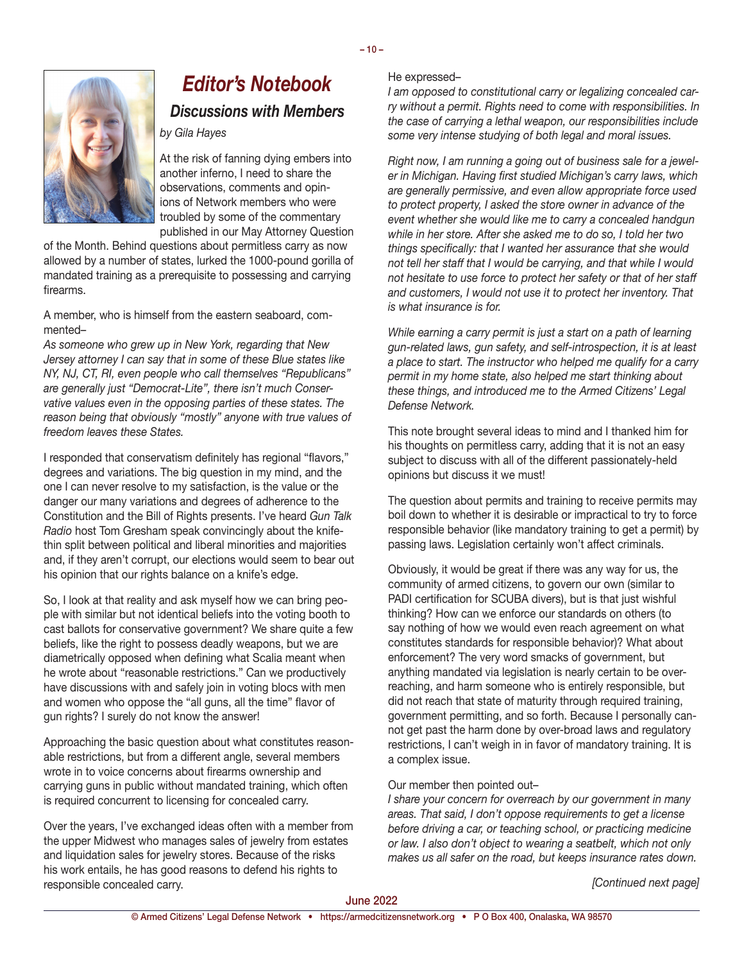$-10-$ 



## *Editor's Notebook Discussions with Members*

*by Gila Hayes*

At the risk of fanning dying embers into another inferno, I need to share the observations, comments and opinions of Network members who were troubled by some of the commentary published in our May Attorney Question

of the Month. Behind questions about permitless carry as now allowed by a number of states, lurked the 1000-pound gorilla of mandated training as a prerequisite to possessing and carrying firearms.

A member, who is himself from the eastern seaboard, commented–

*As someone who grew up in New York, regarding that New Jersey attorney I can say that in some of these Blue states like NY, NJ, CT, RI, even people who call themselves "Republicans" are generally just "Democrat-Lite", there isn't much Conservative values even in the opposing parties of these states. The reason being that obviously "mostly" anyone with true values of freedom leaves these States.*

I responded that conservatism definitely has regional "flavors," degrees and variations. The big question in my mind, and the one I can never resolve to my satisfaction, is the value or the danger our many variations and degrees of adherence to the Constitution and the Bill of Rights presents. I've heard *Gun Talk Radio* host Tom Gresham speak convincingly about the knifethin split between political and liberal minorities and majorities and, if they aren't corrupt, our elections would seem to bear out his opinion that our rights balance on a knife's edge.

So, I look at that reality and ask myself how we can bring people with similar but not identical beliefs into the voting booth to cast ballots for conservative government? We share quite a few beliefs, like the right to possess deadly weapons, but we are diametrically opposed when defining what Scalia meant when he wrote about "reasonable restrictions." Can we productively have discussions with and safely join in voting blocs with men and women who oppose the "all guns, all the time" flavor of gun rights? I surely do not know the answer!

Approaching the basic question about what constitutes reasonable restrictions, but from a different angle, several members wrote in to voice concerns about firearms ownership and carrying guns in public without mandated training, which often is required concurrent to licensing for concealed carry.

Over the years, I've exchanged ideas often with a member from the upper Midwest who manages sales of jewelry from estates and liquidation sales for jewelry stores. Because of the risks his work entails, he has good reasons to defend his rights to responsible concealed carry.

#### He expressed–

*I am opposed to constitutional carry or legalizing concealed carry without a permit. Rights need to come with responsibilities. In the case of carrying a lethal weapon, our responsibilities include some very intense studying of both legal and moral issues.*

*Right now, I am running a going out of business sale for a jeweler in Michigan. Having first studied Michigan's carry laws, which are generally permissive, and even allow appropriate force used to protect property, I asked the store owner in advance of the event whether she would like me to carry a concealed handgun while in her store. After she asked me to do so, I told her two things specifically: that I wanted her assurance that she would not tell her staff that I would be carrying, and that while I would not hesitate to use force to protect her safety or that of her staff and customers, I would not use it to protect her inventory. That is what insurance is for.* 

*While earning a carry permit is just a start on a path of learning gun-related laws, gun safety, and self-introspection, it is at least a place to start. The instructor who helped me qualify for a carry permit in my home state, also helped me start thinking about these things, and introduced me to the Armed Citizens' Legal Defense Network.*

This note brought several ideas to mind and I thanked him for his thoughts on permitless carry, adding that it is not an easy subject to discuss with all of the different passionately-held opinions but discuss it we must!

The question about permits and training to receive permits may boil down to whether it is desirable or impractical to try to force responsible behavior (like mandatory training to get a permit) by passing laws. Legislation certainly won't affect criminals.

Obviously, it would be great if there was any way for us, the community of armed citizens, to govern our own (similar to PADI certification for SCUBA divers), but is that just wishful thinking? How can we enforce our standards on others (to say nothing of how we would even reach agreement on what constitutes standards for responsible behavior)? What about enforcement? The very word smacks of government, but anything mandated via legislation is nearly certain to be overreaching, and harm someone who is entirely responsible, but did not reach that state of maturity through required training, government permitting, and so forth. Because I personally cannot get past the harm done by over-broad laws and regulatory restrictions, I can't weigh in in favor of mandatory training. It is a complex issue.

#### Our member then pointed out–

*I share your concern for overreach by our government in many areas. That said, I don't oppose requirements to get a license before driving a car, or teaching school, or practicing medicine or law. I also don't object to wearing a seatbelt, which not only makes us all safer on the road, but keeps insurance rates down.*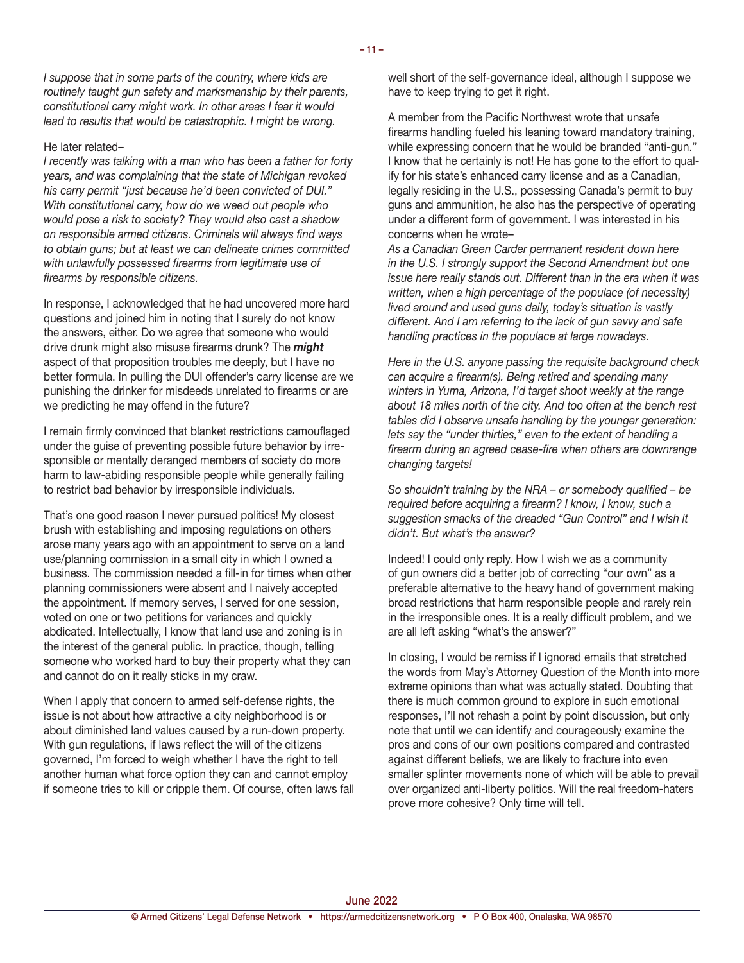*I suppose that in some parts of the country, where kids are routinely taught gun safety and marksmanship by their parents, constitutional carry might work. In other areas I fear it would lead to results that would be catastrophic. I might be wrong.*

#### He later related–

*I recently was talking with a man who has been a father for forty years, and was complaining that the state of Michigan revoked his carry permit "just because he'd been convicted of DUI." With constitutional carry, how do we weed out people who would pose a risk to society? They would also cast a shadow on responsible armed citizens. Criminals will always find ways to obtain guns; but at least we can delineate crimes committed with unlawfully possessed firearms from legitimate use of firearms by responsible citizens.*

In response, I acknowledged that he had uncovered more hard questions and joined him in noting that I surely do not know the answers, either. Do we agree that someone who would drive drunk might also misuse firearms drunk? The *might* aspect of that proposition troubles me deeply, but I have no better formula. In pulling the DUI offender's carry license are we punishing the drinker for misdeeds unrelated to firearms or are we predicting he may offend in the future?

I remain firmly convinced that blanket restrictions camouflaged under the guise of preventing possible future behavior by irresponsible or mentally deranged members of society do more harm to law-abiding responsible people while generally failing to restrict bad behavior by irresponsible individuals.

That's one good reason I never pursued politics! My closest brush with establishing and imposing regulations on others arose many years ago with an appointment to serve on a land use/planning commission in a small city in which I owned a business. The commission needed a fill-in for times when other planning commissioners were absent and I naively accepted the appointment. If memory serves, I served for one session, voted on one or two petitions for variances and quickly abdicated. Intellectually, I know that land use and zoning is in the interest of the general public. In practice, though, telling someone who worked hard to buy their property what they can and cannot do on it really sticks in my craw.

When I apply that concern to armed self-defense rights, the issue is not about how attractive a city neighborhood is or about diminished land values caused by a run-down property. With gun regulations, if laws reflect the will of the citizens governed, I'm forced to weigh whether I have the right to tell another human what force option they can and cannot employ if someone tries to kill or cripple them. Of course, often laws fall well short of the self-governance ideal, although I suppose we have to keep trying to get it right.

A member from the Pacific Northwest wrote that unsafe firearms handling fueled his leaning toward mandatory training, while expressing concern that he would be branded "anti-gun." I know that he certainly is not! He has gone to the effort to qualify for his state's enhanced carry license and as a Canadian, legally residing in the U.S., possessing Canada's permit to buy guns and ammunition, he also has the perspective of operating under a different form of government. I was interested in his concerns when he wrote–

*As a Canadian Green Carder permanent resident down here in the U.S. I strongly support the Second Amendment but one issue here really stands out. Different than in the era when it was written, when a high percentage of the populace (of necessity) lived around and used guns daily, today's situation is vastly different. And I am referring to the lack of gun savvy and safe handling practices in the populace at large nowadays.* 

*Here in the U.S. anyone passing the requisite background check can acquire a firearm(s). Being retired and spending many winters in Yuma, Arizona, I'd target shoot weekly at the range about 18 miles north of the city. And too often at the bench rest tables did I observe unsafe handling by the younger generation: lets say the "under thirties," even to the extent of handling a firearm during an agreed cease-fire when others are downrange changing targets!*

*So shouldn't training by the NRA – or somebody qualified – be required before acquiring a firearm? I know, I know, such a suggestion smacks of the dreaded "Gun Control" and I wish it didn't. But what's the answer?*

Indeed! I could only reply. How I wish we as a community of gun owners did a better job of correcting "our own" as a preferable alternative to the heavy hand of government making broad restrictions that harm responsible people and rarely rein in the irresponsible ones. It is a really difficult problem, and we are all left asking "what's the answer?"

In closing, I would be remiss if I ignored emails that stretched the words from May's Attorney Question of the Month into more extreme opinions than what was actually stated. Doubting that there is much common ground to explore in such emotional responses, I'll not rehash a point by point discussion, but only note that until we can identify and courageously examine the pros and cons of our own positions compared and contrasted against different beliefs, we are likely to fracture into even smaller splinter movements none of which will be able to prevail over organized anti-liberty politics. Will the real freedom-haters prove more cohesive? Only time will tell.